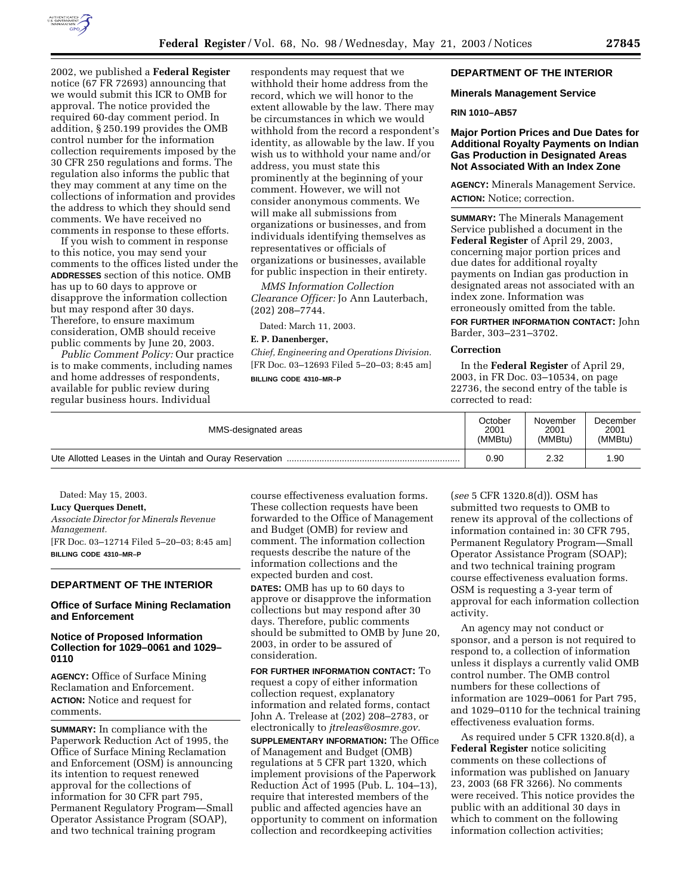

2002, we published a **Federal Register** notice (67 FR 72693) announcing that we would submit this ICR to OMB for approval. The notice provided the required 60-day comment period. In addition, § 250.199 provides the OMB control number for the information collection requirements imposed by the 30 CFR 250 regulations and forms. The regulation also informs the public that they may comment at any time on the collections of information and provides the address to which they should send comments. We have received no comments in response to these efforts.

If you wish to comment in response to this notice, you may send your comments to the offices listed under the **ADDRESSES** section of this notice. OMB has up to 60 days to approve or disapprove the information collection but may respond after 30 days. Therefore, to ensure maximum consideration, OMB should receive public comments by June 20, 2003.

*Public Comment Policy:* Our practice is to make comments, including names and home addresses of respondents, available for public review during regular business hours. Individual

respondents may request that we withhold their home address from the record, which we will honor to the extent allowable by the law. There may be circumstances in which we would withhold from the record a respondent's identity, as allowable by the law. If you wish us to withhold your name and/or address, you must state this prominently at the beginning of your comment. However, we will not consider anonymous comments. We will make all submissions from organizations or businesses, and from individuals identifying themselves as representatives or officials of organizations or businesses, available for public inspection in their entirety.

*MMS Information Collection Clearance Officer:* Jo Ann Lauterbach, (202) 208–7744.

Dated: March 11, 2003.

## **E. P. Danenberger,**

*Chief, Engineering and Operations Division.* [FR Doc. 03–12693 Filed 5–20–03; 8:45 am] **BILLING CODE 4310–MR–P**

### **DEPARTMENT OF THE INTERIOR**

#### **Minerals Management Service**

#### **RIN 1010–AB57**

## **Major Portion Prices and Due Dates for Additional Royalty Payments on Indian Gas Production in Designated Areas Not Associated With an Index Zone**

**AGENCY:** Minerals Management Service. **ACTION:** Notice; correction.

**SUMMARY:** The Minerals Management Service published a document in the **Federal Register** of April 29, 2003, concerning major portion prices and due dates for additional royalty payments on Indian gas production in designated areas not associated with an index zone. Information was erroneously omitted from the table.

**FOR FURTHER INFORMATION CONTACT:** John Barder, 303–231–3702.

#### **Correction**

In the **Federal Register** of April 29, 2003, in FR Doc. 03–10534, on page 22736, the second entry of the table is corrected to read:

| MMS-designated areas | October | November | December |
|----------------------|---------|----------|----------|
|                      | 2001    | 2001     | 2001     |
|                      | (MMBtu) | (MMBtu)  | (MMBtu)  |
|                      | 0.90    | 2.32     | 1.90     |

Dated: May 15, 2003. **Lucy Querques Denett,**  *Associate Director for Minerals Revenue Management.* [FR Doc. 03–12714 Filed 5–20–03; 8:45 am] **BILLING CODE 4310–MR–P**

#### **DEPARTMENT OF THE INTERIOR**

### **Office of Surface Mining Reclamation and Enforcement**

## **Notice of Proposed Information Collection for 1029–0061 and 1029– 0110**

**AGENCY:** Office of Surface Mining Reclamation and Enforcement. **ACTION:** Notice and request for comments.

**SUMMARY:** In compliance with the Paperwork Reduction Act of 1995, the Office of Surface Mining Reclamation and Enforcement (OSM) is announcing its intention to request renewed approval for the collections of information for 30 CFR part 795, Permanent Regulatory Program—Small Operator Assistance Program (SOAP), and two technical training program

course effectiveness evaluation forms. These collection requests have been forwarded to the Office of Management and Budget (OMB) for review and comment. The information collection requests describe the nature of the information collections and the expected burden and cost. **DATES:** OMB has up to 60 days to

approve or disapprove the information collections but may respond after 30 days. Therefore, public comments should be submitted to OMB by June 20, 2003, in order to be assured of consideration.

**FOR FURTHER INFORMATION CONTACT:** To request a copy of either information collection request, explanatory information and related forms, contact John A. Trelease at (202) 208–2783, or electronically to *jtreleas@osmre.gov.*

**SUPPLEMENTARY INFORMATION:** The Office of Management and Budget (OMB) regulations at 5 CFR part 1320, which implement provisions of the Paperwork Reduction Act of 1995 (Pub. L. 104–13), require that interested members of the public and affected agencies have an opportunity to comment on information collection and recordkeeping activities

(*see* 5 CFR 1320.8(d)). OSM has submitted two requests to OMB to renew its approval of the collections of information contained in: 30 CFR 795, Permanent Regulatory Program—Small Operator Assistance Program (SOAP); and two technical training program course effectiveness evaluation forms. OSM is requesting a 3-year term of approval for each information collection activity.

An agency may not conduct or sponsor, and a person is not required to respond to, a collection of information unless it displays a currently valid OMB control number. The OMB control numbers for these collections of information are 1029–0061 for Part 795, and 1029–0110 for the technical training effectiveness evaluation forms.

As required under 5 CFR 1320.8(d), a **Federal Register** notice soliciting comments on these collections of information was published on January 23, 2003 (68 FR 3266). No comments were received. This notice provides the public with an additional 30 days in which to comment on the following information collection activities;